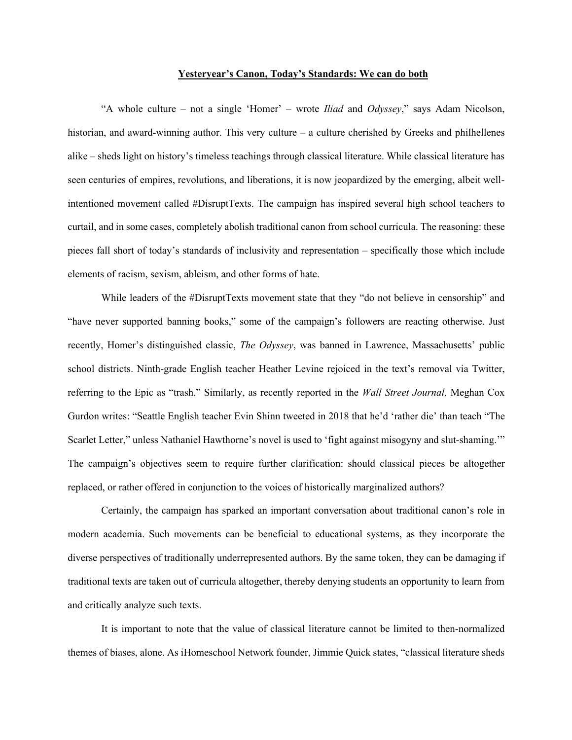## **Yesteryear's Canon, Today's Standards: We can do both**

"A whole culture – not a single 'Homer' – wrote *Iliad* and *Odyssey*," says Adam Nicolson, historian, and award-winning author. This very culture – a culture cherished by Greeks and philhellenes alike – sheds light on history's timeless teachings through classical literature. While classical literature has seen centuries of empires, revolutions, and liberations, it is now jeopardized by the emerging, albeit wellintentioned movement called #DisruptTexts. The campaign has inspired several high school teachers to curtail, and in some cases, completely abolish traditional canon from school curricula. The reasoning: these pieces fall short of today's standards of inclusivity and representation – specifically those which include elements of racism, sexism, ableism, and other forms of hate.

While leaders of the #DisruptTexts movement state that they "do not believe in censorship" and "have never supported banning books," some of the campaign's followers are reacting otherwise. Just recently, Homer's distinguished classic, *The Odyssey*, was banned in Lawrence, Massachusetts' public school districts. Ninth-grade English teacher Heather Levine rejoiced in the text's removal via Twitter, referring to the Epic as "trash." Similarly, as recently reported in the *Wall Street Journal,* Meghan Cox Gurdon writes: "Seattle English teacher Evin Shinn tweeted in 2018 that he'd 'rather die' than teach "The Scarlet Letter," unless Nathaniel Hawthorne's novel is used to 'fight against misogyny and slut-shaming.'" The campaign's objectives seem to require further clarification: should classical pieces be altogether replaced, or rather offered in conjunction to the voices of historically marginalized authors?

Certainly, the campaign has sparked an important conversation about traditional canon's role in modern academia. Such movements can be beneficial to educational systems, as they incorporate the diverse perspectives of traditionally underrepresented authors. By the same token, they can be damaging if traditional texts are taken out of curricula altogether, thereby denying students an opportunity to learn from and critically analyze such texts.

It is important to note that the value of classical literature cannot be limited to then-normalized themes of biases, alone. As iHomeschool Network founder, Jimmie Quick states, "classical literature sheds